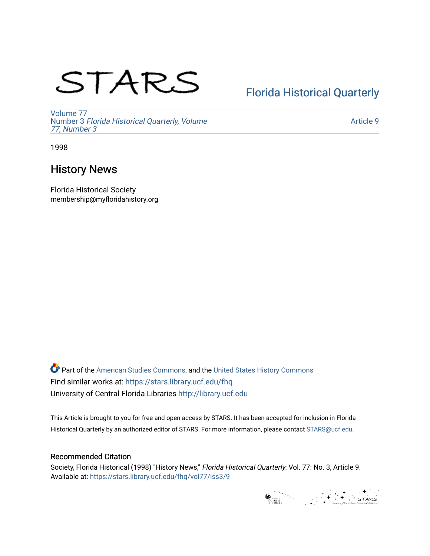# STARS

# [Florida Historical Quarterly](https://stars.library.ucf.edu/fhq)

[Volume 77](https://stars.library.ucf.edu/fhq/vol77) Number 3 [Florida Historical Quarterly, Volume](https://stars.library.ucf.edu/fhq/vol77/iss3)  [77, Number 3](https://stars.library.ucf.edu/fhq/vol77/iss3)

[Article 9](https://stars.library.ucf.edu/fhq/vol77/iss3/9) 

1998

# History News

Florida Historical Society membership@myfloridahistory.org

**C** Part of the [American Studies Commons](http://network.bepress.com/hgg/discipline/439?utm_source=stars.library.ucf.edu%2Ffhq%2Fvol77%2Fiss3%2F9&utm_medium=PDF&utm_campaign=PDFCoverPages), and the United States History Commons Find similar works at: <https://stars.library.ucf.edu/fhq> University of Central Florida Libraries [http://library.ucf.edu](http://library.ucf.edu/) 

This Article is brought to you for free and open access by STARS. It has been accepted for inclusion in Florida Historical Quarterly by an authorized editor of STARS. For more information, please contact [STARS@ucf.edu.](mailto:STARS@ucf.edu)

## Recommended Citation

Society, Florida Historical (1998) "History News," Florida Historical Quarterly: Vol. 77: No. 3, Article 9. Available at: [https://stars.library.ucf.edu/fhq/vol77/iss3/9](https://stars.library.ucf.edu/fhq/vol77/iss3/9?utm_source=stars.library.ucf.edu%2Ffhq%2Fvol77%2Fiss3%2F9&utm_medium=PDF&utm_campaign=PDFCoverPages) 

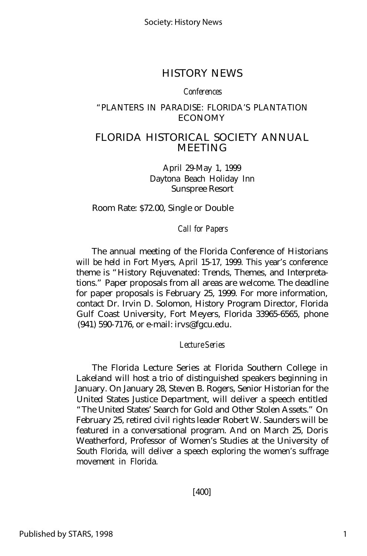Society: History News

## HISTORY NEWS

#### *Conferences*

#### "PLANTERS IN PARADISE: FLORIDA'S PLANTATION ECONOMY

## FLORIDA HISTORICAL SOCIETY ANNUAL MEETING

April 29-May 1, 1999 Daytona Beach Holiday Inn Sunspree Resort

Room Rate: \$72.00, Single or Double

*Call for Papers*

The annual meeting of the Florida Conference of Historians will be held in Fort Myers, April 15-17, 1999. This year's conference theme is "History Rejuvenated: Trends, Themes, and Interpretations." Paper proposals from all areas are welcome. The deadline for paper proposals is February 25, 1999. For more information, contact Dr. Irvin D. Solomon, History Program Director, Florida Gulf Coast University, Fort Meyers, Florida 33965-6565, phone (941) 590-7176, or e-mail: irvs@fgcu.edu.

*Lecture Series*

The Florida Lecture Series at Florida Southern College in Lakeland will host a trio of distinguished speakers beginning in January. On January 28, Steven B. Rogers, Senior Historian for the United States Justice Department, will deliver a speech entitled "The United States' Search for Gold and Other Stolen Assets." On February 25, retired civil rights leader Robert W. Saunders will be featured in a conversational program. And on March 25, Doris Weatherford, Professor of Women's Studies at the University of South Florida, will deliver a speech exploring the women's suffrage movement in Florida.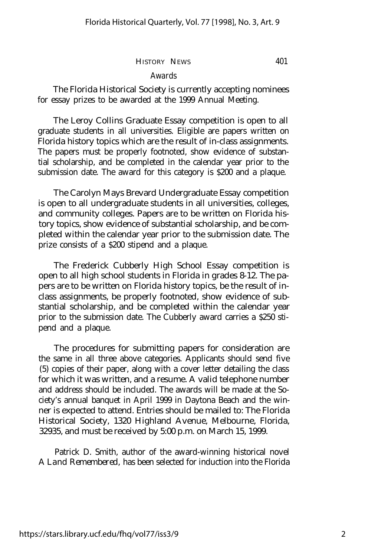#### HISTORY NEWS 401

#### *Awards*

The Florida Historical Society is currently accepting nominees for essay prizes to be awarded at the 1999 Annual Meeting.

The Leroy Collins Graduate Essay competition is open to all graduate students in all universities. Eligible are papers written on Florida history topics which are the result of in-class assignments. The papers must be properly footnoted, show evidence of substantial scholarship, and be completed in the calendar year prior to the submission date. The award for this category is \$200 and a plaque.

The Carolyn Mays Brevard Undergraduate Essay competition is open to all undergraduate students in all universities, colleges, and community colleges. Papers are to be written on Florida history topics, show evidence of substantial scholarship, and be completed within the calendar year prior to the submission date. The prize consists of a \$200 stipend and a plaque.

The Frederick Cubberly High School Essay competition is open to all high school students in Florida in grades 8-12. The papers are to be written on Florida history topics, be the result of inclass assignments, be properly footnoted, show evidence of substantial scholarship, and be completed within the calendar year prior to the submission date. The Cubberly award carries a \$250 stipend and a plaque.

The procedures for submitting papers for consideration are the same in all three above categories. Applicants should send five (5) copies of their paper, along with a cover letter detailing the class for which it was written, and a resume. A valid telephone number and address should be included. The awards will be made at the Society's annual banquet in April 1999 in Daytona Beach and the winner is expected to attend. Entries should be mailed to: The Florida Historical Society, 1320 Highland Avenue, Melbourne, Florida, 32935, and must be received by 5:00 p.m. on March 15, 1999.

Patrick D. Smith, author of the award-winning historical novel *A Land Remembered,* has been selected for induction into the Florida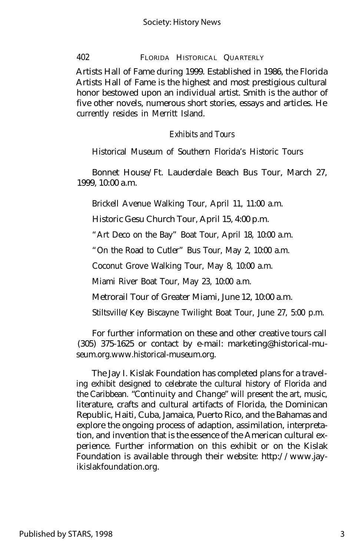#### 402 FLORIDA HISTORICAL QUARTERLY

Artists Hall of Fame during 1999. Established in 1986, the Florida Artists Hall of Fame is the highest and most prestigious cultural honor bestowed upon an individual artist. Smith is the author of five other novels, numerous short stories, essays and articles. He currently resides in Merritt Island.

#### *Exhibits and Tours*

Historical Museum of Southern Florida's Historic Tours

Bonnet House/Ft. Lauderdale Beach Bus Tour, March 27, 1999, 10:00 a.m.

Brickell Avenue Walking Tour, April 11, 11:00 a.m.

Historic Gesu Church Tour, April 15, 4:00 p.m.

"Art Deco on the Bay" Boat Tour, April 18, 10:00 a.m.

"On the Road to Cutler" Bus Tour, May 2, 10:00 a.m.

Coconut Grove Walking Tour, May 8, 10:00 a.m.

Miami River Boat Tour, May 23, 10:00 a.m.

Metrorail Tour of Greater Miami, June 12, 10:00 a.m.

Stiltsville/Key Biscayne Twilight Boat Tour, June 27, 5:00 p.m.

For further information on these and other creative tours call (305) 375-1625 or contact by e-mail: marketing@historical-museum.org.www.historical-museum.org.

The Jay I. Kislak Foundation has completed plans for a traveling exhibit designed to celebrate the cultural history of Florida and the Caribbean. *"Continuity and Change"* will present the art, music, literature, crafts and cultural artifacts of Florida, the Dominican Republic, Haiti, Cuba, Jamaica, Puerto Rico, and the Bahamas and explore the ongoing process of adaption, assimilation, interpretation, and invention that is the essence of the American cultural experience. Further information on this exhibit or on the Kislak Foundation is available through their website: http://www.jayikislakfoundation.org.